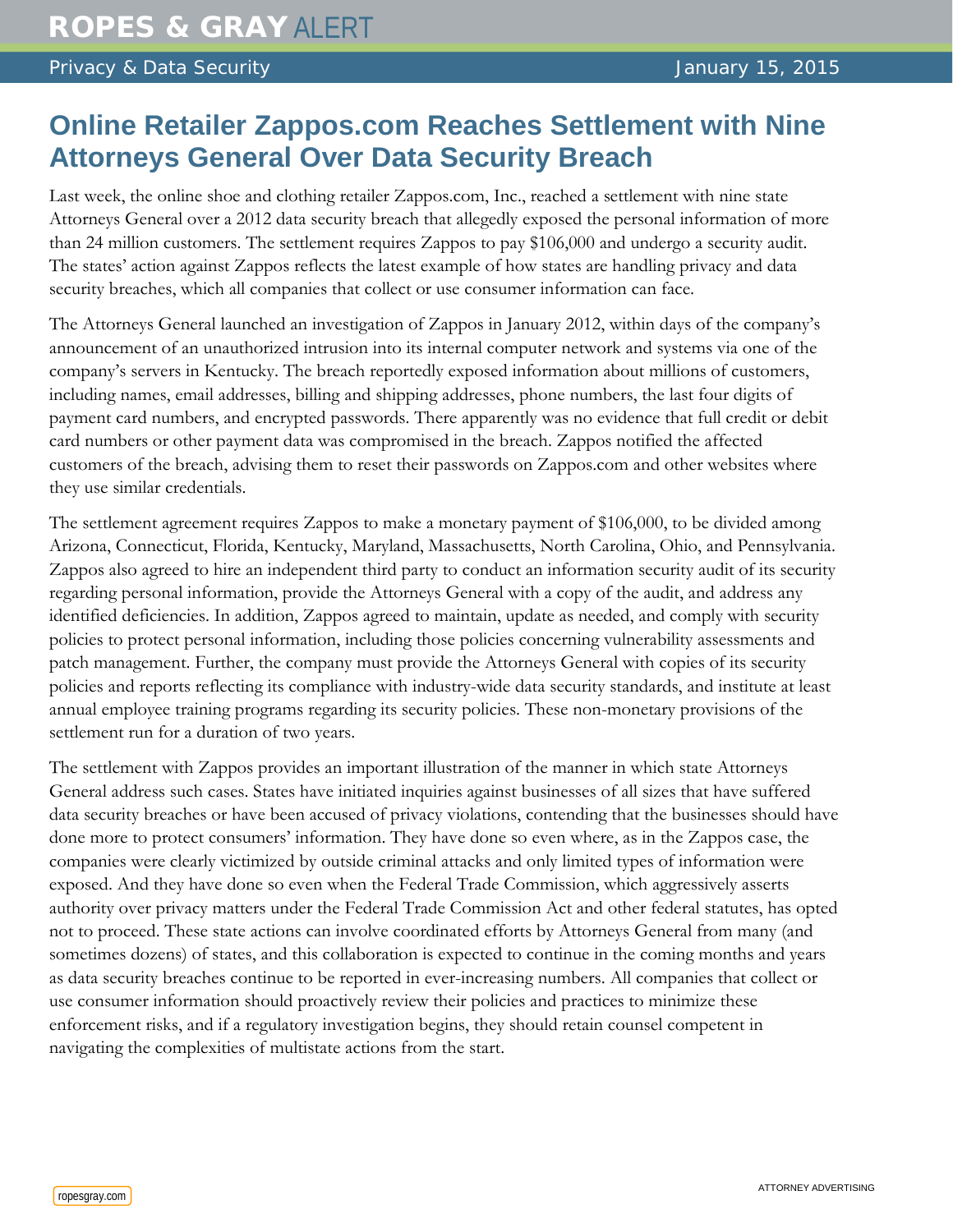## **Online Retailer Zappos.com Reaches Settlement with Nine Attorneys General Over Data Security Breach**

Last week, the online shoe and clothing retailer Zappos.com, Inc., reached a settlement with nine state Attorneys General over a 2012 data security breach that allegedly exposed the personal information of more than 24 million customers. The settlement requires Zappos to pay \$106,000 and undergo a security audit. The states' action against Zappos reflects the latest example of how states are handling privacy and data security breaches, which all companies that collect or use consumer information can face.

The Attorneys General launched an investigation of Zappos in January 2012, within days of the company's announcement of an unauthorized intrusion into its internal computer network and systems via one of the company's servers in Kentucky. The breach reportedly exposed information about millions of customers, including names, email addresses, billing and shipping addresses, phone numbers, the last four digits of payment card numbers, and encrypted passwords. There apparently was no evidence that full credit or debit card numbers or other payment data was compromised in the breach. Zappos notified the affected customers of the breach, advising them to reset their passwords on Zappos.com and other websites where they use similar credentials.

The settlement agreement requires Zappos to make a monetary payment of \$106,000, to be divided among Arizona, Connecticut, Florida, Kentucky, Maryland, Massachusetts, North Carolina, Ohio, and Pennsylvania. Zappos also agreed to hire an independent third party to conduct an information security audit of its security regarding personal information, provide the Attorneys General with a copy of the audit, and address any identified deficiencies. In addition, Zappos agreed to maintain, update as needed, and comply with security policies to protect personal information, including those policies concerning vulnerability assessments and patch management. Further, the company must provide the Attorneys General with copies of its security policies and reports reflecting its compliance with industry-wide data security standards, and institute at least annual employee training programs regarding its security policies. These non-monetary provisions of the settlement run for a duration of two years.

The settlement with Zappos provides an important illustration of the manner in which state Attorneys General address such cases. States have initiated inquiries against businesses of all sizes that have suffered data security breaches or have been accused of privacy violations, contending that the businesses should have done more to protect consumers' information. They have done so even where, as in the Zappos case, the companies were clearly victimized by outside criminal attacks and only limited types of information were exposed. And they have done so even when the Federal Trade Commission, which aggressively asserts authority over privacy matters under the Federal Trade Commission Act and other federal statutes, has opted not to proceed. These state actions can involve coordinated efforts by Attorneys General from many (and sometimes dozens) of states, and this collaboration is expected to continue in the coming months and years as data security breaches continue to be reported in ever-increasing numbers. All companies that collect or use consumer information should proactively review their policies and practices to minimize these enforcement risks, and if a regulatory investigation begins, they should retain counsel competent in navigating the complexities of multistate actions from the start.